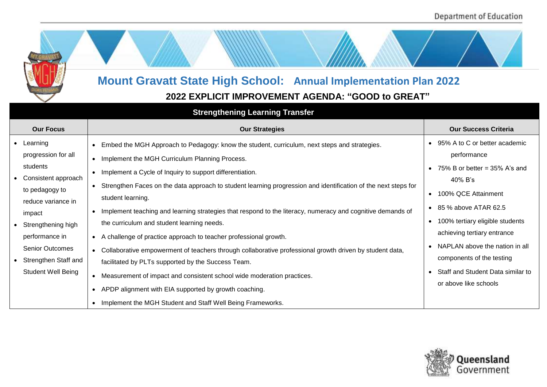

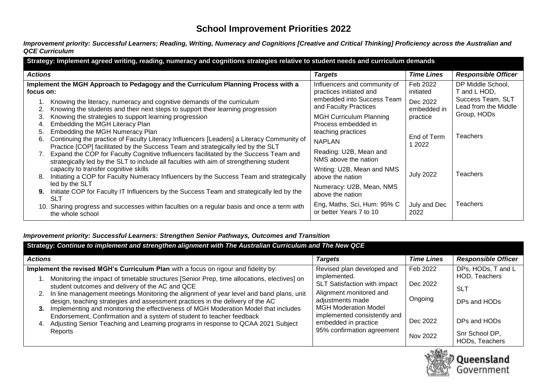# **School Improvement Priorities 2022**

*Improvement priority: Successful Learners; Reading, Writing, Numeracy and Cognitions [Creative and Critical Thinking] Proficiency across the Australian and QCE Curriculum*

| Strategy: Implement agreed writing, reading, numeracy and cognitions strategies relative to student needs and curriculum demands |                                                                                                                                                                                                                                                                    |                                                         |                         |                                           |  |
|----------------------------------------------------------------------------------------------------------------------------------|--------------------------------------------------------------------------------------------------------------------------------------------------------------------------------------------------------------------------------------------------------------------|---------------------------------------------------------|-------------------------|-------------------------------------------|--|
| <b>Actions</b>                                                                                                                   |                                                                                                                                                                                                                                                                    | <b>Targets</b>                                          | <b>Time Lines</b>       | <b>Responsible Officer</b>                |  |
| focus on:                                                                                                                        | Implement the MGH Approach to Pedagogy and the Curriculum Planning Process with a                                                                                                                                                                                  | Influencers and community of<br>practices initiated and | Feb 2022<br>initiated   | DP Middle School,<br>T and L HOD,         |  |
|                                                                                                                                  | Knowing the literacy, numeracy and cognitive demands of the curriculum<br>Knowing the students and their next steps to support their learning progression                                                                                                          | embedded into Success Team<br>and Faculty Practices     | Dec 2022<br>embedded in | Success Team, SLT<br>Lead from the Middle |  |
|                                                                                                                                  | Knowing the strategies to support learning progression<br>Embedding the MGH Literacy Plan                                                                                                                                                                          | <b>MGH Curriculum Planning</b><br>Process embedded in   | practice                | Group, HODs                               |  |
| 5.<br>6.                                                                                                                         | Embedding the MGH Numeracy Plan<br>Continuing the practice of Faculty Literacy Influencers [Leaders] a Literacy Community of                                                                                                                                       | teaching practices<br><b>NAPLAN</b>                     | End of Term<br>2022     | <b>Teachers</b>                           |  |
|                                                                                                                                  | Practice [COP] facilitated by the Success Team and strategically led by the SLT<br>Expand the COP for Faculty Cognitive Influencers facilitated by the Success Team and<br>strategically led by the SLT to include all faculties with aim of strengthening student | Reading: U2B, Mean and<br>NMS above the nation          |                         |                                           |  |
| 8.                                                                                                                               | capacity to transfer cognitive skills<br>Initiating a COP for Faculty Numeracy Influencers by the Success Team and strategically                                                                                                                                   | Writing: U2B, Mean and NMS<br>above the nation          | <b>July 2022</b>        | <b>Teachers</b>                           |  |
| 9.                                                                                                                               | led by the SLT<br>Initiate COP for Faculty IT Influencers by the Success Team and strategically led by the<br>SLT                                                                                                                                                  | Numeracy: U2B, Mean, NMS<br>above the nation            |                         |                                           |  |
|                                                                                                                                  | 10. Sharing progress and successes within faculties on a regular basis and once a term with<br>the whole school                                                                                                                                                    | Eng, Maths, Sci, Hum: 95% C<br>or better Years 7 to 10  | July and Dec<br>2022    | <b>Teachers</b>                           |  |

### *Improvement priority: Successful Learners: Strengthen Senior Pathways, Outcomes and Transition*

| Strategy: Continue to implement and strengthen alignment with The Australian Curriculum and The New QCE                                                                                                                                                                                                                                                                                                                                                                                                                                                                                                                                                                                          |                                                                                                                                                                                                                                                |                                                         |                                                                                                                              |  |  |  |
|--------------------------------------------------------------------------------------------------------------------------------------------------------------------------------------------------------------------------------------------------------------------------------------------------------------------------------------------------------------------------------------------------------------------------------------------------------------------------------------------------------------------------------------------------------------------------------------------------------------------------------------------------------------------------------------------------|------------------------------------------------------------------------------------------------------------------------------------------------------------------------------------------------------------------------------------------------|---------------------------------------------------------|------------------------------------------------------------------------------------------------------------------------------|--|--|--|
| <b>Actions</b>                                                                                                                                                                                                                                                                                                                                                                                                                                                                                                                                                                                                                                                                                   | <b>Targets</b>                                                                                                                                                                                                                                 | <b>Time Lines</b>                                       | <b>Responsible Officer</b>                                                                                                   |  |  |  |
| Implement the revised MGH's Curriculum Plan with a focus on rigour and fidelity by:<br>Monitoring the impact of timetable structures [Senior Prep, time allocations, electives] on<br>student outcomes and delivery of the AC and QCE<br>2. In line management meetings Monitoring the alignment of year level and band plans, unit<br>design, teaching strategies and assessment practices in the delivery of the AC<br>Implementing and monitoring the effectiveness of MGH Moderation Model that includes<br>3.<br>Endorsement, Confirmation and a system of student to teacher feedback<br>Adjusting Senior Teaching and Learning programs in response to QCAA 2021 Subject<br>4.<br>Reports | Revised plan developed and<br>implemented.<br>SLT Satisfaction with impact<br>Alignment monitored and<br>adjustments made<br><b>MGH Moderation Model</b><br>implemented consistently and<br>embedded in practice<br>95% confirmation agreement | Feb 2022<br>Dec 2022<br>Ongoing<br>Dec 2022<br>Nov 2022 | DPs, HODs, T and L<br>HOD, Teachers<br><b>SLT</b><br>DPs and HODs<br>DPs and HODs<br>Snr School DP,<br><b>HODs, Teachers</b> |  |  |  |

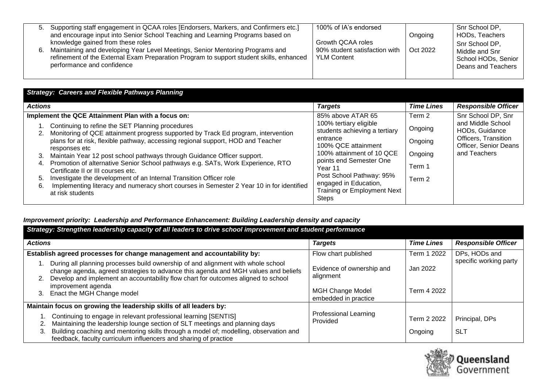| 5. | Supporting staff engagement in QCAA roles [Endorsers, Markers, and Confirmers etc.]     | 100% of IA's endorsed         |          | Snr School DP,      |
|----|-----------------------------------------------------------------------------------------|-------------------------------|----------|---------------------|
|    | and encourage input into Senior School Teaching and Learning Programs based on          |                               | Ongoing  | HODs, Teachers      |
|    | knowledge gained from these roles                                                       | Growth QCAA roles             |          | Snr School DP,      |
|    | Maintaining and developing Year Level Meetings, Senior Mentoring Programs and           | 90% student satisfaction with | Oct 2022 | Middle and Snr      |
|    | refinement of the External Exam Preparation Program to support student skills, enhanced | <b>YLM Content</b>            |          | School HODs, Senior |
|    | performance and confidence                                                              |                               |          | Deans and Teachers  |
|    |                                                                                         |                               |          |                     |

| <b>Targets</b><br><b>Actions</b>                                                                                                                                                                                                                                                                                                                                                                                                                                                                                                                                                                                                                                                                                                                                                                                                                                                    | <b>Responsible Officer</b><br><b>Time Lines</b>                                                                                                                                                                                                                                                                           |
|-------------------------------------------------------------------------------------------------------------------------------------------------------------------------------------------------------------------------------------------------------------------------------------------------------------------------------------------------------------------------------------------------------------------------------------------------------------------------------------------------------------------------------------------------------------------------------------------------------------------------------------------------------------------------------------------------------------------------------------------------------------------------------------------------------------------------------------------------------------------------------------|---------------------------------------------------------------------------------------------------------------------------------------------------------------------------------------------------------------------------------------------------------------------------------------------------------------------------|
| 85% above ATAR 65<br>Implement the QCE Attainment Plan with a focus on:<br>100% tertiary eligible<br>Continuing to refine the SET Planning procedures<br>Monitoring of QCE attainment progress supported by Track Ed program, intervention<br>entrance<br>plans for at risk, flexible pathway, accessing regional support, HOD and Teacher<br>100% QCE attainment<br>responses etc<br>Maintain Year 12 post school pathways through Guidance Officer support.<br>3.<br>points end Semester One<br>Promotion of alternative Senior School pathways e.g. SATs, Work Experience, RTO<br>4.<br>Year 11<br>Certificate II or III courses etc.<br>Investigate the development of an Internal Transition Officer role<br>5.<br>engaged in Education,<br>Implementing literacy and numeracy short courses in Semester 2 Year 10 in for identified<br>6.<br>at risk students<br><b>Steps</b> | Snr School DP, Snr<br>Term 2<br>and Middle School<br>Ongoing<br>students achieving a tertiary<br>HODs, Guidance<br>Officers, Transition<br>Ongoing<br>Officer, Senior Deans<br>and Teachers<br>100% attainment of 10 QCE<br>Ongoing<br>Term 1<br>Post School Pathway: 95%<br>Term 2<br><b>Training or Employment Next</b> |

### *Improvement priority: Leadership and Performance Enhancement: Building Leadership density and capacity*

| Strategy: Strengthen leadership capacity of all leaders to drive school improvement and student performance |                                                                                                                                                                                                                                                                                                                |                                                 |                        |                              |  |
|-------------------------------------------------------------------------------------------------------------|----------------------------------------------------------------------------------------------------------------------------------------------------------------------------------------------------------------------------------------------------------------------------------------------------------------|-------------------------------------------------|------------------------|------------------------------|--|
| <b>Actions</b>                                                                                              |                                                                                                                                                                                                                                                                                                                | <b>Targets</b>                                  | <b>Time Lines</b>      | <b>Responsible Officer</b>   |  |
|                                                                                                             | Establish agreed processes for change management and accountability by:                                                                                                                                                                                                                                        | Flow chart published                            | Term 1 2022            | DPs, HODs and                |  |
|                                                                                                             | During all planning processes build ownership of and alignment with whole school<br>change agenda, agreed strategies to advance this agenda and MGH values and beliefs<br>Develop and implement an accountability flow chart for outcomes aligned to school<br>improvement agenda                              | Evidence of ownership and<br>alignment          | Jan 2022               | specific working party       |  |
| 3.                                                                                                          | Enact the MGH Change model                                                                                                                                                                                                                                                                                     | <b>MGH Change Model</b><br>embedded in practice | Term 4 2022            |                              |  |
|                                                                                                             | Maintain focus on growing the leadership skills of all leaders by:                                                                                                                                                                                                                                             |                                                 |                        |                              |  |
| 3.                                                                                                          | 1. Continuing to engage in relevant professional learning [SENTIS]<br>Maintaining the leadership lounge section of SLT meetings and planning days<br>Building coaching and mentoring skills through a model of; modelling, observation and<br>feedback, faculty curriculum influencers and sharing of practice | <b>Professional Learning</b><br>Provided        | Term 2 2022<br>Ongoing | Principal, DPs<br><b>SLT</b> |  |

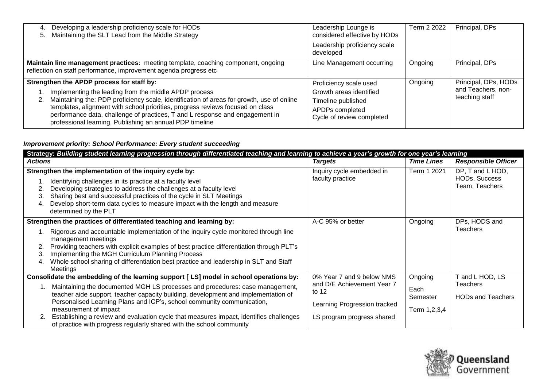| Developing a leadership proficiency scale for HODs<br>4.<br>Maintaining the SLT Lead from the Middle Strategy<br>5.                                                                                                                                                                                                                                                                                                                 | Leadership Lounge is<br>considered effective by HODs                                                                    | Term 2 2022 | Principal, DPs                                               |
|-------------------------------------------------------------------------------------------------------------------------------------------------------------------------------------------------------------------------------------------------------------------------------------------------------------------------------------------------------------------------------------------------------------------------------------|-------------------------------------------------------------------------------------------------------------------------|-------------|--------------------------------------------------------------|
|                                                                                                                                                                                                                                                                                                                                                                                                                                     | Leadership proficiency scale<br>developed                                                                               |             |                                                              |
| Maintain line management practices: meeting template, coaching component, ongoing<br>reflection on staff performance, improvement agenda progress etc                                                                                                                                                                                                                                                                               | Line Management occurring                                                                                               | Ongoing     | Principal, DPs                                               |
| Strengthen the APDP process for staff by:<br>Implementing the leading from the middle APDP process<br>Maintaining the: PDP proficiency scale, identification of areas for growth, use of online<br>2.<br>templates, alignment with school priorities, progress reviews focused on class<br>performance data, challenge of practices, T and L response and engagement in<br>professional learning, Publishing an annual PDP timeline | Proficiency scale used<br>Growth areas identified<br>Timeline published<br>APDPs completed<br>Cycle of review completed | Ongoing     | Principal, DPs, HODs<br>and Teachers, non-<br>teaching staff |

### *Improvement priority: School Performance: Every student succeeding*

|                | Strategy: Building student learning progression through differentiated teaching and learning to achieve a year's growth for one year's learning                                                                                                                                                                                                                                                                                                                                                                                  |                                                                                                                                  |                                                |                                                       |  |
|----------------|----------------------------------------------------------------------------------------------------------------------------------------------------------------------------------------------------------------------------------------------------------------------------------------------------------------------------------------------------------------------------------------------------------------------------------------------------------------------------------------------------------------------------------|----------------------------------------------------------------------------------------------------------------------------------|------------------------------------------------|-------------------------------------------------------|--|
| <b>Actions</b> |                                                                                                                                                                                                                                                                                                                                                                                                                                                                                                                                  | <b>Targets</b>                                                                                                                   | <b>Time Lines</b>                              | <b>Responsible Officer</b>                            |  |
| 3.<br>-4.      | Strengthen the implementation of the inquiry cycle by:<br>Identifying challenges in its practice at a faculty level<br>Developing strategies to address the challenges at a faculty level<br>Sharing best and successful practices of the cycle in SLT Meetings<br>Develop short-term data cycles to measure impact with the length and measure<br>determined by the PLT                                                                                                                                                         | Inquiry cycle embedded in<br>faculty practice                                                                                    | Term 1 2021                                    | DP, T and L HOD,<br>HODs, Success<br>Team, Teachers   |  |
|                | Strengthen the practices of differentiated teaching and learning by:                                                                                                                                                                                                                                                                                                                                                                                                                                                             | A-C 95% or better                                                                                                                | Ongoing                                        | DPs, HODS and                                         |  |
| 3.<br>4.       | Rigorous and accountable implementation of the inquiry cycle monitored through line<br>management meetings<br>Providing teachers with explicit examples of best practice differentiation through PLT's<br>Implementing the MGH Curriculum Planning Process<br>Whole school sharing of differentiation best practice and leadership in SLT and Staff<br>Meetings                                                                                                                                                                  |                                                                                                                                  |                                                | <b>Teachers</b>                                       |  |
|                | Consolidate the embedding of the learning support [LS] model in school operations by:<br>Maintaining the documented MGH LS processes and procedures: case management,<br>teacher aide support, teacher capacity building, development and implementation of<br>Personalised Learning Plans and ICP's, school community communication,<br>measurement of impact<br>Establishing a review and evaluation cycle that measures impact, identifies challenges<br>of practice with progress regularly shared with the school community | 0% Year 7 and 9 below NMS<br>and D/E Achievement Year 7<br>to $12$<br>Learning Progression tracked<br>LS program progress shared | Ongoing<br>Each<br>Semester<br>Term 1, 2, 3, 4 | and L HOD, LS<br>Teachers<br><b>HODs and Teachers</b> |  |

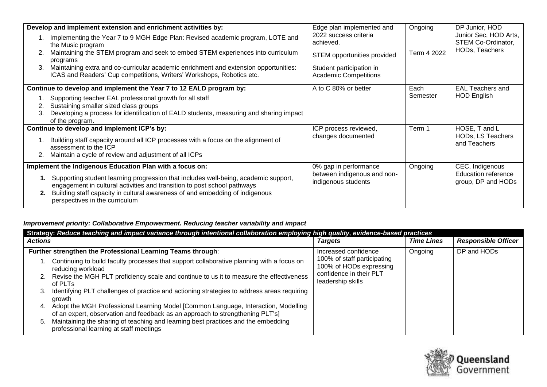|    | Develop and implement extension and enrichment activities by:                                                                                                      | Edge plan implemented and                                | Ongoing     | DP Junior, HOD                                   |
|----|--------------------------------------------------------------------------------------------------------------------------------------------------------------------|----------------------------------------------------------|-------------|--------------------------------------------------|
|    | Implementing the Year 7 to 9 MGH Edge Plan: Revised academic program, LOTE and<br>the Music program                                                                | 2022 success criteria<br>achieved.                       |             | Junior Sec, HOD Arts,<br>STEM Co-Ordinator,      |
| 2. | Maintaining the STEM program and seek to embed STEM experiences into curriculum<br>programs                                                                        | STEM opportunities provided                              | Term 4 2022 | HODs, Teachers                                   |
| 3. | Maintaining extra and co-curricular academic enrichment and extension opportunities:<br>ICAS and Readers' Cup competitions, Writers' Workshops, Robotics etc.      | Student participation in<br><b>Academic Competitions</b> |             |                                                  |
|    | Continue to develop and implement the Year 7 to 12 EALD program by:                                                                                                | A to C 80% or better                                     | Each        | <b>EAL Teachers and</b>                          |
|    | Supporting teacher EAL professional growth for all staff                                                                                                           |                                                          | Semester    | <b>HOD English</b>                               |
|    | Sustaining smaller sized class groups                                                                                                                              |                                                          |             |                                                  |
| 3. | Developing a process for identification of EALD students, measuring and sharing impact<br>of the program.                                                          |                                                          |             |                                                  |
|    | Continue to develop and implement ICP's by:                                                                                                                        | ICP process reviewed,                                    | Term 1      | HOSE, T and L                                    |
|    | Building staff capacity around all ICP processes with a focus on the alignment of<br>assessment to the ICP                                                         | changes documented                                       |             | HODs, LS Teachers<br>and Teachers                |
| 2. | Maintain a cycle of review and adjustment of all ICPs                                                                                                              |                                                          |             |                                                  |
|    | Implement the Indigenous Education Plan with a focus on:                                                                                                           | 0% gap in performance                                    | Ongoing     | CEC, Indigenous                                  |
|    | 1. Supporting student learning progression that includes well-being, academic support,<br>engagement in cultural activities and transition to post school pathways | between indigenous and non-<br>indigenous students       |             | <b>Education reference</b><br>group, DP and HODs |
|    | Building staff capacity in cultural awareness of and embedding of indigenous<br>perspectives in the curriculum                                                     |                                                          |             |                                                  |

# *Improvement priority: Collaborative Empowerment. Reducing teacher variability and impact*

| Strategy: Reduce teaching and impact variance through intentional collaboration employing high quality, evidence-based practices                                          |                                                        |                   |                            |  |  |
|---------------------------------------------------------------------------------------------------------------------------------------------------------------------------|--------------------------------------------------------|-------------------|----------------------------|--|--|
| <b>Actions</b>                                                                                                                                                            | <b>Targets</b>                                         | <b>Time Lines</b> | <b>Responsible Officer</b> |  |  |
| Further strengthen the Professional Learning Teams through:                                                                                                               | Increased confidence                                   | Ongoing           | DP and HODs                |  |  |
| . Continuing to build faculty processes that support collaborative planning with a focus on<br>reducing workload                                                          | 100% of staff participating<br>100% of HODs expressing |                   |                            |  |  |
| 2. Revise the MGH PLT proficiency scale and continue to us it to measure the effectiveness<br>of PLTs                                                                     | confidence in their PLT<br>leadership skills           |                   |                            |  |  |
| Identifying PLT challenges of practice and actioning strategies to address areas requiring<br>3.<br>growth                                                                |                                                        |                   |                            |  |  |
| Adopt the MGH Professional Learning Model [Common Language, Interaction, Modelling<br>4.<br>of an expert, observation and feedback as an approach to strengthening PLT's] |                                                        |                   |                            |  |  |
| Maintaining the sharing of teaching and learning best practices and the embedding<br>5.<br>professional learning at staff meetings                                        |                                                        |                   |                            |  |  |

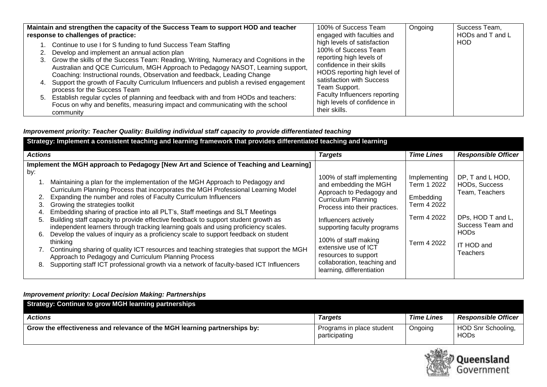| Maintain and strengthen the capacity of the Success Team to support HOD and teacher                                                                                                                                                                                                                                                                                                                                                                                                                                                                                                                                                                                                               | 100% of Success Team                                                                                                                                                                                                                                                          | Ongoing | Success Team,    |
|---------------------------------------------------------------------------------------------------------------------------------------------------------------------------------------------------------------------------------------------------------------------------------------------------------------------------------------------------------------------------------------------------------------------------------------------------------------------------------------------------------------------------------------------------------------------------------------------------------------------------------------------------------------------------------------------------|-------------------------------------------------------------------------------------------------------------------------------------------------------------------------------------------------------------------------------------------------------------------------------|---------|------------------|
| response to challenges of practice:                                                                                                                                                                                                                                                                                                                                                                                                                                                                                                                                                                                                                                                               | engaged with faculties and                                                                                                                                                                                                                                                    |         | HODs and T and L |
| 1. Continue to use I for S funding to fund Success Team Staffing<br>2. Develop and implement an annual action plan<br>3. Grow the skills of the Success Team: Reading, Writing, Numeracy and Cognitions in the<br>Australian and QCE Curriculum, MGH Approach to Pedagogy NASOT, Learning support,<br>Coaching: Instructional rounds, Observation and feedback, Leading Change<br>4. Support the growth of Faculty Curriculum Influencers and publish a revised engagement<br>process for the Success Team<br>5. Establish regular cycles of planning and feedback with and from HODs and teachers:<br>Focus on why and benefits, measuring impact and communicating with the school<br>community | high levels of satisfaction<br>100% of Success Team<br>reporting high levels of<br>confidence in their skills<br>HODS reporting high level of<br>satisfaction with Success<br>Team Support.<br>Faculty Influencers reporting<br>high levels of confidence in<br>their skills. |         | HOD              |

### *Improvement priority: Teacher Quality: Building individual staff capacity to provide differentiated teaching*

| Strategy: Implement a consistent teaching and learning framework that provides differentiated teaching and learning |                                                                                                                                                                                                                                                                                                                                                                                                                                                                                                                                                                                                                                                                                                                                   |                                                                                                                                                                                                                               |                                                                                       |                                                                                                                  |  |
|---------------------------------------------------------------------------------------------------------------------|-----------------------------------------------------------------------------------------------------------------------------------------------------------------------------------------------------------------------------------------------------------------------------------------------------------------------------------------------------------------------------------------------------------------------------------------------------------------------------------------------------------------------------------------------------------------------------------------------------------------------------------------------------------------------------------------------------------------------------------|-------------------------------------------------------------------------------------------------------------------------------------------------------------------------------------------------------------------------------|---------------------------------------------------------------------------------------|------------------------------------------------------------------------------------------------------------------|--|
| <b>Actions</b>                                                                                                      |                                                                                                                                                                                                                                                                                                                                                                                                                                                                                                                                                                                                                                                                                                                                   | <b>Targets</b>                                                                                                                                                                                                                | <b>Time Lines</b>                                                                     | <b>Responsible Officer</b>                                                                                       |  |
| by:<br>5.<br>6.                                                                                                     | Implement the MGH approach to Pedagogy [New Art and Science of Teaching and Learning]<br>Maintaining a plan for the implementation of the MGH Approach to Pedagogy and<br>Curriculum Planning Process that incorporates the MGH Professional Learning Model<br>Expanding the number and roles of Faculty Curriculum Influencers<br>Growing the strategies toolkit<br>Embedding sharing of practice into all PLT's, Staff meetings and SLT Meetings<br>Building staff capacity to provide effective feedback to support student growth as<br>independent learners through tracking learning goals and using proficiency scales.<br>Develop the values of inquiry as a proficiency scale to support feedback on student<br>thinking | 100% of staff implementing<br>and embedding the MGH<br>Approach to Pedagogy and<br><b>Curriculum Planning</b><br>Process into their practices.<br>Influencers actively<br>supporting faculty programs<br>100% of staff making | Implementing<br>Term 1 2022<br>Embedding<br>Term 4 2022<br>Term 4 2022<br>Term 4 2022 | DP, T and L HOD,<br>HODs, Success<br>Team, Teachers<br>DPs, HOD T and L,<br>Success Team and<br>HOD <sub>s</sub> |  |
| 8.                                                                                                                  | 7. Continuing sharing of quality ICT resources and teaching strategies that support the MGH<br>Approach to Pedagogy and Curriculum Planning Process<br>Supporting staff ICT professional growth via a network of faculty-based ICT Influencers                                                                                                                                                                                                                                                                                                                                                                                                                                                                                    | extensive use of ICT<br>resources to support<br>collaboration, teaching and<br>learning, differentiation                                                                                                                      |                                                                                       | IT HOD and<br><b>Teachers</b>                                                                                    |  |

### *Improvement priority: Local Decision Making: Partnerships*

| Strategy: Continue to grow MGH learning partnerships                      |                                            |                   |                                   |
|---------------------------------------------------------------------------|--------------------------------------------|-------------------|-----------------------------------|
| <b>Actions</b>                                                            | <b>Targets</b>                             | <b>Time Lines</b> | <b>Responsible Officer</b>        |
| Grow the effectiveness and relevance of the MGH learning partnerships by: | Programs in place student<br>participating | Ongoing           | HOD Snr Schooling,<br><b>HODs</b> |

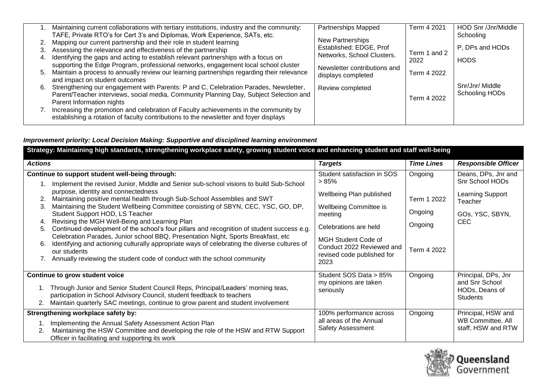|    | Maintaining current collaborations with tertiary institutions, industry and the community:                                                                                       | Partnerships Mapped                                | Term 4 2021  | HOD Snr /Jnr/Middle |
|----|----------------------------------------------------------------------------------------------------------------------------------------------------------------------------------|----------------------------------------------------|--------------|---------------------|
|    | TAFE, Private RTO's for Cert 3's and Diplomas, Work Experience, SATs, etc.                                                                                                       |                                                    |              | Schooling           |
| 2. | Mapping our current partnership and their role in student learning                                                                                                               | <b>New Partnerships</b><br>Established: EDGE, Prof |              |                     |
| 3. | Assessing the relevance and effectiveness of the partnership                                                                                                                     | Networks, School Clusters.                         | Term 1 and 2 | P. DPs and HODs     |
| 4. | Identifying the gaps and acting to establish relevant partnerships with a focus on                                                                                               |                                                    | 2022         | <b>HODS</b>         |
| 5. | supporting the Edge Program, professional networks, engagement local school cluster<br>Maintain a process to annually review our learning partnerships regarding their relevance | Newsletter contributions and                       | Term 4 2022  |                     |
|    | and impact on student outcomes                                                                                                                                                   | displays completed                                 |              |                     |
| 6. | Strengthening our engagement with Parents: P and C, Celebration Parades, Newsletter,                                                                                             | Review completed                                   |              | Snr/Jnr/ Middle     |
|    | Parent/Teacher interviews, social media, Community Planning Day, Subject Selection and                                                                                           |                                                    | Term 4 2022  | Schooling HODs      |
|    | Parent Information nights                                                                                                                                                        |                                                    |              |                     |
|    | Increasing the promotion and celebration of Faculty achievements in the community by                                                                                             |                                                    |              |                     |
|    | establishing a rotation of faculty contributions to the newsletter and foyer displays                                                                                            |                                                    |              |                     |

# *Improvement priority: Local Decision Making: Supportive and disciplined learning environment*

| Strategy: Maintaining high standards, strengthening workplace safety, growing student voice and enhancing student and staff well-being |                                                                                                                                                                                 |                                                         |                   |                                   |  |  |  |
|----------------------------------------------------------------------------------------------------------------------------------------|---------------------------------------------------------------------------------------------------------------------------------------------------------------------------------|---------------------------------------------------------|-------------------|-----------------------------------|--|--|--|
| <b>Actions</b>                                                                                                                         |                                                                                                                                                                                 | <b>Targets</b>                                          | <b>Time Lines</b> | <b>Responsible Officer</b>        |  |  |  |
| Continue to support student well-being through:                                                                                        |                                                                                                                                                                                 | Student satisfaction in SOS                             | Ongoing           | Deans, DPs, Jnr and               |  |  |  |
|                                                                                                                                        | Implement the revised Junior, Middle and Senior sub-school visions to build Sub-School                                                                                          | >85%                                                    |                   | Snr School HODs                   |  |  |  |
|                                                                                                                                        | purpose, identity and connectedness                                                                                                                                             | Wellbeing Plan published                                |                   | Learning Support                  |  |  |  |
| 2.<br>3.                                                                                                                               | Maintaining positive mental health through Sub-School Assemblies and SWT<br>Maintaining the Student Wellbeing Committee consisting of SBYN, CEC, YSC, GO, DP,                   | Wellbeing Committee is                                  | Term 1 2022       | Teacher                           |  |  |  |
|                                                                                                                                        | Student Support HOD, LS Teacher                                                                                                                                                 | meeting                                                 | Ongoing           | GOs, YSC, SBYN,                   |  |  |  |
| 4.                                                                                                                                     | Revising the MGH Well-Being and Learning Plan                                                                                                                                   | Celebrations are held                                   | Ongoing           | CEC.                              |  |  |  |
| 5.                                                                                                                                     | Continued development of the school's four pillars and recognition of student success e.g.<br>Celebration Parades, Junior school BBQ, Presentation Night, Sports Breakfast, etc |                                                         |                   |                                   |  |  |  |
| 6.                                                                                                                                     | Identifying and actioning culturally appropriate ways of celebrating the diverse cultures of                                                                                    | <b>MGH Student Code of</b>                              |                   |                                   |  |  |  |
|                                                                                                                                        | our students                                                                                                                                                                    | Conduct 2022 Reviewed and<br>revised code published for | Term 4 2022       |                                   |  |  |  |
|                                                                                                                                        | Annually reviewing the student code of conduct with the school community                                                                                                        | 2023                                                    |                   |                                   |  |  |  |
| Continue to grow student voice                                                                                                         |                                                                                                                                                                                 | Student SOS Data > 85%                                  | Ongoing           | Principal, DPs, Jnr               |  |  |  |
|                                                                                                                                        | Through Junior and Senior Student Council Reps, Principal/Leaders' morning teas,                                                                                                | my opinions are taken                                   |                   | and Snr School                    |  |  |  |
|                                                                                                                                        | participation in School Advisory Council, student feedback to teachers                                                                                                          | seriously                                               |                   | HODs, Deans of<br><b>Students</b> |  |  |  |
|                                                                                                                                        | Maintain quarterly SAC meetings, continue to grow parent and student involvement                                                                                                |                                                         |                   |                                   |  |  |  |
| Strengthening workplace safety by:                                                                                                     |                                                                                                                                                                                 | 100% performance across                                 | Ongoing           | Principal, HSW and                |  |  |  |
|                                                                                                                                        | Implementing the Annual Safety Assessment Action Plan                                                                                                                           | all areas of the Annual                                 |                   | WB Committee, All                 |  |  |  |
| 2.                                                                                                                                     | Maintaining the HSW Committee and developing the role of the HSW and RTW Support<br>Officer in facilitating and supporting its work                                             | <b>Safety Assessment</b>                                |                   | staff, HSW and RTW                |  |  |  |